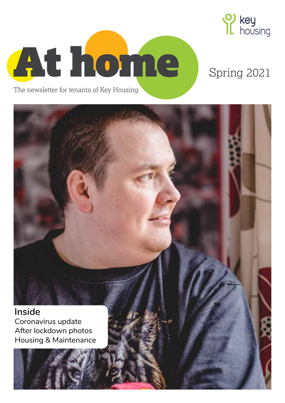

# Spring 2021

The newsletter for tenants of Key Housing

At home

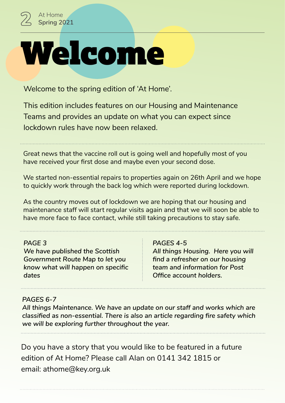

Welcome to the spring edition of 'At Home'.

This edition includes features on our Housing and Maintenance Teams and provides an update on what you can expect since lockdown rules have now been relaxed.

Great news that the vaccine roll out is going well and hopefully most of you have received your first dose and maybe even your second dose.

We started non-essential repairs to properties again on 26th April and we hope to quickly work through the back log which were reported during lockdown.

As the country moves out of lockdown we are hoping that our housing and maintenance staff will start regular visits again and that we will soon be able to have more face to face contact, while still taking precautions to stay safe.

### *PAGE 3*

*We have published the Scottish Government Route Map to let you know what will happen on specific dates*

#### *PAGES 4-5*

*All things Housing. Here you will find a refresher on our housing team and information for Post Office account holders.*

### *PAGES 6-7*

*All things Maintenance. We have an update on our staff and works which are classified as non-essential. There is also an article regarding fire safety which we will be exploring further throughout the year.*

Do you have a story that you would like to be featured in a future edition of At Home? Please call Alan on 0141 342 1815 or email: athome@key.org.uk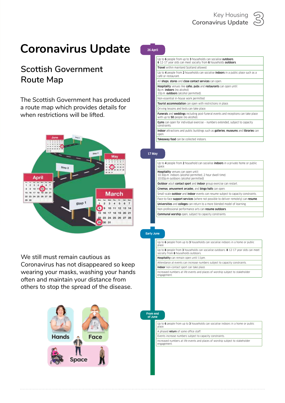# **Coronavirus Update**

### **Scottish Government Route Map**

The Scottish Government has produced a route map which provides details for when restrictions will be lifted.



We still must remain cautious as Coronavirus has not disappeared so keep wearing your masks, washing your hands often and maintain your distance from others to stop the spread of the disease.



| Up to 6 people from up to 3 households can socialise outdoors.<br>6 12-17 year olds can meet socially from 6 households outdoors.                                             |
|-------------------------------------------------------------------------------------------------------------------------------------------------------------------------------|
| <b>Travel</b> within mainland Scotland allowed.                                                                                                                               |
| Up to 4 people from 2 households can socialise <b>indoors</b> in a public place such as a<br>café or restaurant.                                                              |
| All shops, stores and close contact services can open.                                                                                                                        |
| <b>Hospitality</b> venues like <b>cafes</b> , <b>pubs</b> and <b>restaurants</b> can open until:<br>8p.m. <b>indoors</b> (no alcohol)<br>10p.m. outdoors (alcohol permitted). |
| Non-essential in-house work permitted                                                                                                                                         |
| <b>Tourist accommodation</b> can open with restrictions in place.                                                                                                             |
| Driving lessons and tests can take place.                                                                                                                                     |
| <b>Funerals</b> and <b>weddings</b> including post-funeral events and receptions can take place<br>with up to 50 people (no alcohol).                                         |
| <b>Gyms</b> can open for individual exercise - numbers extended, subject to capacity<br>constraints.                                                                          |
| Indoor attractions and public buildings such as galleries, museums and libraries can<br>open.                                                                                 |
| Takeaway food can be collected indoors.                                                                                                                                       |
|                                                                                                                                                                               |

#### **17 May**

**26 April**

| space. | Up to 4 people from 2 household can socialise <b>indoors</b> in a private home or public                                                       |
|--------|------------------------------------------------------------------------------------------------------------------------------------------------|
|        | <b>Hospitality</b> venues can open until:<br>10:30p.m. indoors (alcohol permitted, 2 hour dwell time)<br>10:00p.m outdoors (alcohol permitted) |
|        | <b>Outdoor</b> adult contact sport and indoor group exercise can restart.                                                                      |
|        | Cinemas, amusement arcades, and bingo halls can open.                                                                                          |
|        | Small-scale <b>outdoor</b> and <b>indoor</b> events can resume subject to capacity constraints.                                                |
|        | Face-to-face <b>support services</b> (where not possible to deliver remotely) can resume.                                                      |
|        | <b>Universities</b> and <b>colleges</b> can return to a more blended model of learning.                                                        |
|        | Non-professional performance arts can resume outdoors.                                                                                         |
|        | <b>Communal worship</b> open, subject to capacity constraints.                                                                                 |

#### **Early June**

Up to 6 people from up to 3 households can socialise indoors in a home or public place.

Up to 8 people from 3 households can socialise outdoors. 8 12-17 year olds can meet socially from **8** households outdoors. Hospitality can remain open until 11pm. Attendance at events can increase numbers subject to capacity constraints. Indoor non-contact sport can take place.

Increased numbers at life events and places of worship subject to stakeholder engagement.

**From end of June**

place.

Up to 6 people from up to 3 households can socialise indoors in a home or public

A phased return of some office staff.

Events increase numbers subject to capacity constraints.

Increased numbers at life events and places of worship subject to stakeholder engagement.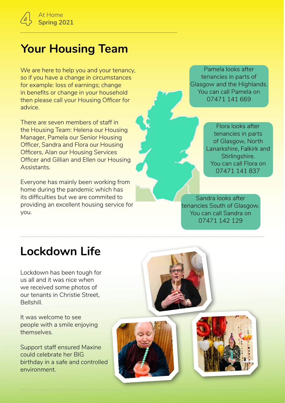# **Your Housing Team**

We are here to help you and your tenancy, so if you have a change in circumstances for example: loss of earnings; change in benefits or change in your household then please call your Housing Officer for advice.

There are seven members of staff in the Housing Team: Helena our Housing Manager, Pamela our Senior Housing Officer, Sandra and Flora our Housing Officers, Alan our Housing Services Officer and Gillian and Ellen our Housing Assistants.

Everyone has mainly been working from home during the pandemic which has its difficulties but we are commited to providing an excellent housing service for you.

Pamela looks after tenancies in parts of Glasgow and the Highlands. You can call Pamela on 07471 141 669

> Flora looks after tenancies in parts of Glasgow, North Lanarkshire, Falkirk and Stirlingshire. You can call Flora on 07471 141 837

Sandra looks after tenancies South of Glasgow. You can call Sandra on 07471 142 129

# **Lockdown Life**

Lockdown has been tough for us all and it was nice when we received some photos of our tenants in Christie Street, Bellshill.

It was welcome to see people with a smile enjoying themselves.

Support staff ensured Maxine could celebrate her BIG birthday in a safe and controlled environment.





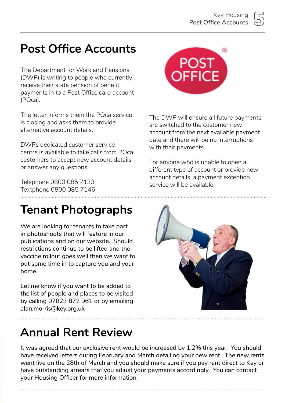# **Post Office Accounts**

The Department for Work and Pensions (DWP) is writing to people who currently receive their state pension of benefit payments in to a Post Office card account (POca).

The letter informs them the POca service is closing and asks them to provide alternative account details.

DWPs dedicated customer service centre is available to take calls from POca customers to accept new account details or answer any questions

Telephone 0800 085 7133 Textphone 0800 085 7146

## **Tenant Photographs**

We are looking for tenants to take part in photoshoots that will feature in our publications and on our website. Should restrictions continue to be lifted and the vaccine rollout goes well then we want to put some time in to capture you and your home.

Let me know if you want to be added to the list of people and places to be visited by calling 07823 872 961 or by emailing alan.morris@key.org.uk

## **Annual Rent Review**

It was agreed that our exclusive rent would be increased by 1.2% this year. You should have received letters during February and March detailing your new rent. The new rents went live on the 28th of March and you should make sure if you pay rent direct to Key or have outstanding arrears that you adjust your payments accordingly. You can contact your Housing Officer for more information.



The DWP will ensure all future payments are switched to the customer new account from the next available payment date and there will be no interruptions with their payments.

For anyone who is unable to open a different type of account or provide new account details, a payment exception service will be available.

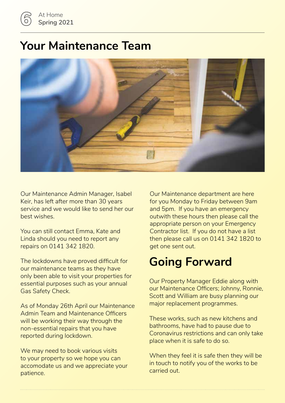## **Your Maintenance Team**



Our Maintenance Admin Manager, Isabel Keir, has left after more than 30 years service and we would like to send her our best wishes.

You can still contact Emma, Kate and Linda should you need to report any repairs on 0141 342 1820.

The lockdowns have proved difficult for our maintenance teams as they have only been able to visit your properties for essential purposes such as your annual Gas Safety Check.

As of Monday 26th April our Maintenance Admin Team and Maintenance Officers will be working their way through the non-essential repairs that you have reported during lockdown.

We may need to book various visits to your property so we hope you can accomodate us and we appreciate your patience.

Our Maintenance department are here for you Monday to Friday between 9am and 5pm. If you have an emergency outwith these hours then please call the appropriate person on your Emergency Contractor list. If you do not have a list then please call us on 0141 342 1820 to get one sent out.

# **Going Forward**

Our Property Manager Eddie along with our Maintenance Officers; Johnny, Ronnie, Scott and William are busy planning our major replacement programmes.

These works, such as new kitchens and bathrooms, have had to pause due to Coronavirus restrictions and can only take place when it is safe to do so.

When they feel it is safe then they will be in touch to notify you of the works to be carried out.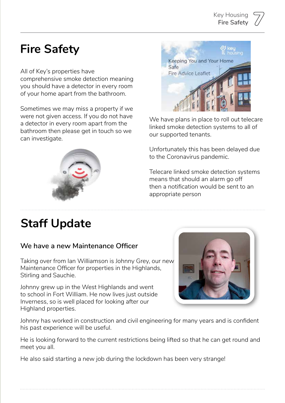### **Key Housing Fire Safety**

# **Fire Safety**

### All of Key's properties have

comprehensive smoke detection meaning you should have a detector in every room of your home apart from the bathroom.

Sometimes we may miss a property if we were not given access. If you do not have a detector in every room apart from the bathroom then please get in touch so we can investigate.



### **We have a new Maintenance Officer**

Taking over from Ian Williamson is Johnny Grey, our new Maintenance Officer for properties in the Highlands, Stirling and Sauchie.

Johnny grew up in the West Highlands and went to school in Fort William. He now lives just outside Inverness, so is well placed for looking after our Highland properties.

Johnny has worked in construction and civil engineering for many years and is confident his past experience will be useful.

He is looking forward to the current restrictions being lifted so that he can get round and meet you all.

He also said starting a new job during the lockdown has been very strange!



Keeping You and Your Home

**Fire Advice Leaflet** 

Safe

linked smoke detection systems to all of our supported tenants.

Unfortunately this has been delayed due to the Coronavirus pandemic.

Telecare linked smoke detection systems means that should an alarm go off then a notification would be sent to an appropriate person